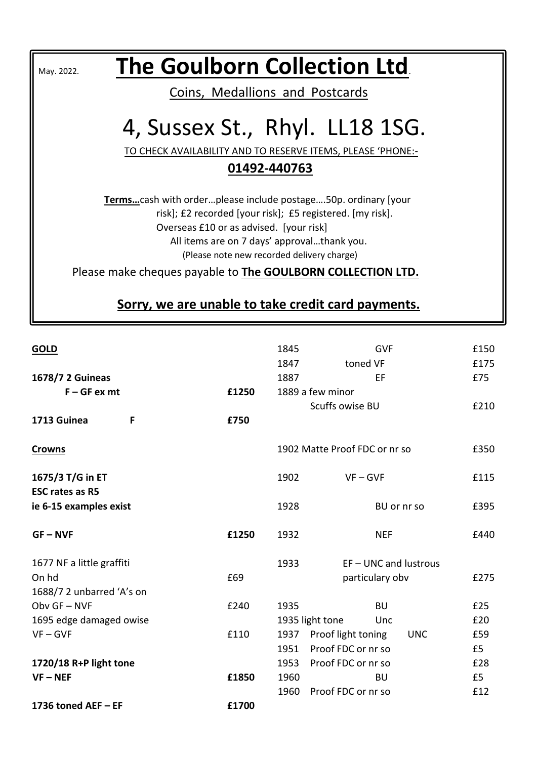| The Goulborn Collection Ltd.<br>May. 2022.                         |  |  |  |  |  |
|--------------------------------------------------------------------|--|--|--|--|--|
| Coins, Medallions and Postcards                                    |  |  |  |  |  |
| 4, Sussex St., Rhyl. LL18 1SG.                                     |  |  |  |  |  |
| TO CHECK AVAILABILITY AND TO RESERVE ITEMS, PLEASE 'PHONE:-        |  |  |  |  |  |
| 01492-440763                                                       |  |  |  |  |  |
| Termscash with orderplease include postage50p. ordinary [your      |  |  |  |  |  |
| risk]; £2 recorded [your risk]; £5 registered. [my risk].          |  |  |  |  |  |
| Overseas £10 or as advised. [your risk]                            |  |  |  |  |  |
| All items are on 7 days' approvalthank you.                        |  |  |  |  |  |
| (Please note new recorded delivery charge)                         |  |  |  |  |  |
| Please make cheques payable to <b>The GOULBORN COLLECTION LTD.</b> |  |  |  |  |  |
| Sorry, we are unable to take credit card payments.                 |  |  |  |  |  |

| <b>GOLD</b>               |       | 1845 | <b>GVF</b>                       | £150 |
|---------------------------|-------|------|----------------------------------|------|
|                           |       | 1847 | toned VF                         | £175 |
| 1678/7 2 Guineas          |       | 1887 | EF                               | £75  |
| $F - GF$ ex mt            | £1250 |      | 1889 a few minor                 |      |
|                           |       |      | Scuffs owise BU                  | £210 |
| 1713 Guinea<br>F          | £750  |      |                                  |      |
| <b>Crowns</b>             |       |      | 1902 Matte Proof FDC or nr so    | £350 |
| 1675/3 T/G in ET          |       | 1902 | $VF - GVF$                       | £115 |
| <b>ESC rates as R5</b>    |       |      |                                  |      |
| ie 6-15 examples exist    |       | 1928 | BU or nr so                      | £395 |
| $GF - NVF$                | £1250 | 1932 | <b>NEF</b>                       | £440 |
| 1677 NF a little graffiti |       | 1933 | $EF - UNC$ and lustrous          |      |
| On hd                     | £69   |      | particulary obv                  | £275 |
| 1688/7 2 unbarred 'A's on |       |      |                                  |      |
| Obv GF-NVF                | £240  | 1935 | <b>BU</b>                        | £25  |
| 1695 edge damaged owise   |       |      | 1935 light tone<br>Unc           | £20  |
| $VF - GVF$                | £110  | 1937 | Proof light toning<br><b>UNC</b> | £59  |
|                           |       | 1951 | Proof FDC or nr so               | £5   |
| 1720/18 R+P light tone    |       |      | 1953 Proof FDC or nr so          | £28  |
| $VF - NEF$                | £1850 | 1960 | BU                               | £5   |
|                           |       | 1960 | Proof FDC or nr so               | £12  |
| 1736 toned AEF - EF       | £1700 |      |                                  |      |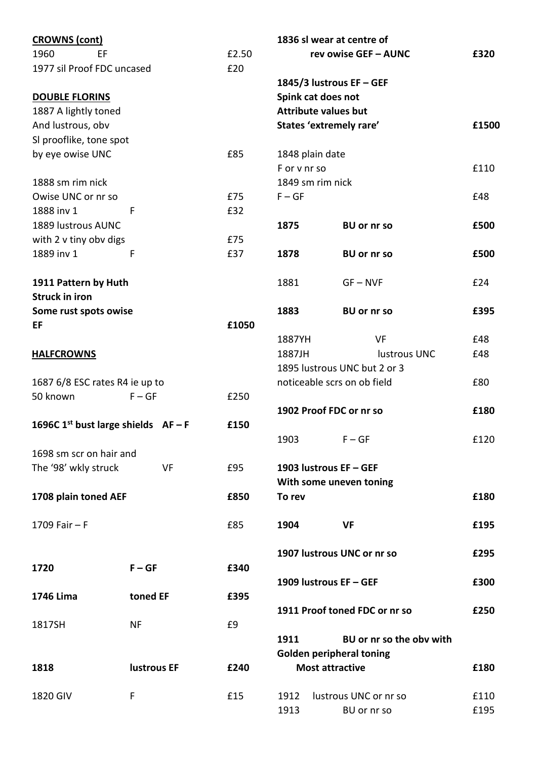| <b>CROWNS (cont)</b>                |                    |       |                    | 1836 sl wear at centre of       |       |
|-------------------------------------|--------------------|-------|--------------------|---------------------------------|-------|
| 1960<br>EF                          |                    | £2.50 |                    | rev owise GEF - AUNC            | £320  |
| 1977 sil Proof FDC uncased          |                    | £20   |                    |                                 |       |
|                                     |                    |       |                    | 1845/3 lustrous EF - GEF        |       |
| <b>DOUBLE FLORINS</b>               |                    |       | Spink cat does not |                                 |       |
| 1887 A lightly toned                |                    |       |                    | <b>Attribute values but</b>     |       |
| And lustrous, obv                   |                    |       |                    | States 'extremely rare'         | £1500 |
| SI prooflike, tone spot             |                    |       |                    |                                 |       |
| by eye owise UNC                    |                    | £85   | 1848 plain date    |                                 |       |
|                                     |                    |       | F or v nr so       |                                 | £110  |
| 1888 sm rim nick                    |                    |       | 1849 sm rim nick   |                                 |       |
| Owise UNC or nr so                  |                    | £75   | $F - GF$           |                                 | £48   |
| 1888 inv 1                          | F                  | £32   |                    |                                 |       |
| 1889 lustrous AUNC                  |                    |       | 1875               | <b>BU or nr so</b>              | £500  |
| with 2 v tiny obv digs              |                    | £75   |                    |                                 |       |
| 1889 inv 1                          | F                  | £37   | 1878               | <b>BU or nr so</b>              | £500  |
|                                     |                    |       |                    |                                 |       |
| 1911 Pattern by Huth                |                    |       | 1881               | $GF - NVF$                      | £24   |
| <b>Struck in iron</b>               |                    |       |                    |                                 |       |
| Some rust spots owise               |                    |       | 1883               | <b>BU or nr so</b>              | £395  |
| EF                                  |                    | £1050 |                    |                                 |       |
|                                     |                    |       | 1887YH             | <b>VF</b>                       | £48   |
| <b>HALFCROWNS</b>                   |                    |       | 1887JH             | lustrous UNC                    | £48   |
|                                     |                    |       |                    | 1895 lustrous UNC but 2 or 3    |       |
|                                     |                    |       |                    | noticeable scrs on ob field     | £80   |
| 1687 6/8 ESC rates R4 ie up to      |                    |       |                    |                                 |       |
| 50 known                            | $F - GF$           | £250  |                    |                                 |       |
|                                     |                    |       |                    | 1902 Proof FDC or nr so         | £180  |
| 1696C 1st bust large shields $AF-F$ |                    | £150  |                    |                                 |       |
|                                     |                    |       | 1903               | $F - GF$                        | £120  |
| 1698 sm scr on hair and             |                    |       |                    |                                 |       |
| The '98' wkly struck                | VF                 | £95   |                    | 1903 lustrous EF - GEF          |       |
|                                     |                    |       |                    | With some uneven toning         |       |
| 1708 plain toned AEF                |                    | £850  | To rev             |                                 | £180  |
|                                     |                    |       |                    |                                 |       |
| 1709 Fair $- F$                     |                    | £85   | 1904               | <b>VF</b>                       | £195  |
|                                     |                    |       |                    |                                 |       |
|                                     |                    |       |                    | 1907 lustrous UNC or nr so      | £295  |
| 1720                                | $F - GF$           | £340  |                    |                                 |       |
|                                     |                    |       |                    | 1909 lustrous EF - GEF          | £300  |
| 1746 Lima                           | toned EF           | £395  |                    |                                 |       |
|                                     |                    |       |                    | 1911 Proof toned FDC or nr so   | £250  |
| 1817SH                              | <b>NF</b>          | £9    |                    |                                 |       |
|                                     |                    |       | 1911               | BU or nr so the obv with        |       |
|                                     |                    |       |                    | <b>Golden peripheral toning</b> |       |
| 1818                                | <b>lustrous EF</b> | £240  |                    | <b>Most attractive</b>          | £180  |
|                                     |                    |       |                    |                                 |       |
| 1820 GIV                            | F                  | £15   | 1912               | lustrous UNC or nr so           | £110  |
|                                     |                    |       | 1913               | BU or nr so                     | £195  |
|                                     |                    |       |                    |                                 |       |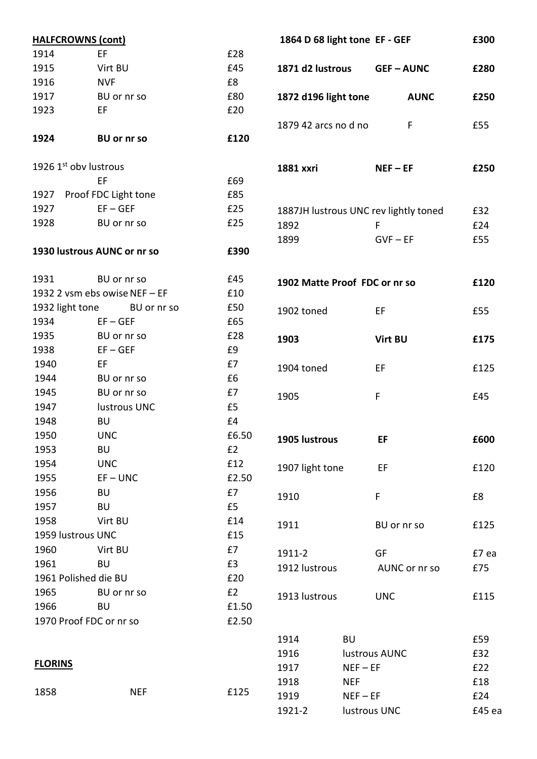|                 | <b>HALFCROWNS (cont)</b>      |       |                               | 1864 D 68 light tone EF - GEF |                                       | £300   |
|-----------------|-------------------------------|-------|-------------------------------|-------------------------------|---------------------------------------|--------|
| 1914            | EF.                           | £28   |                               |                               |                                       |        |
| 1915            | Virt BU                       | £45   | 1871 d2 lustrous              |                               | <b>GEF-AUNC</b>                       | £280   |
| 1916            | <b>NVF</b>                    | £8    |                               |                               |                                       |        |
| 1917            | BU or nr so                   | £80   | 1872 d196 light tone          |                               | <b>AUNC</b>                           | £250   |
| 1923            | EF.                           | £20   |                               |                               |                                       |        |
|                 |                               |       | 1879 42 arcs no d no          |                               | F                                     | £55    |
| 1924            | <b>BU or nr so</b>            | £120  |                               |                               |                                       |        |
|                 | 1926 1st oby lustrous         |       | 1881 xxri                     |                               | $NEF - EF$                            | £250   |
|                 | EF                            | £69   |                               |                               |                                       |        |
| 1927            | Proof FDC Light tone          | £85   |                               |                               |                                       |        |
| 1927            | $EF - GEF$                    | £25   |                               |                               | 1887JH lustrous UNC rev lightly toned | £32    |
| 1928            | BU or nr so                   | £25   | 1892                          |                               | F                                     | £24    |
|                 |                               |       | 1899                          |                               | $GVF - EF$                            | £55    |
|                 | 1930 lustrous AUNC or nr so   | £390  |                               |                               |                                       |        |
| 1931            | BU or nr so                   | £45   | 1902 Matte Proof FDC or nr so |                               |                                       | £120   |
|                 | 1932 2 vsm ebs owise NEF - EF | £10   |                               |                               |                                       |        |
| 1932 light tone | BU or nr so                   | £50   | 1902 toned                    |                               | EF                                    | £55    |
| 1934            | $EF - GEF$                    | £65   |                               |                               |                                       |        |
| 1935            | BU or nr so                   | £28   | 1903                          |                               | Virt BU                               | £175   |
| 1938            | $EF - GEF$                    | £9    |                               |                               |                                       |        |
| 1940            | EF                            | £7    | 1904 toned                    |                               | EF                                    | £125   |
| 1944            | BU or nr so                   | £6    |                               |                               |                                       |        |
| 1945            | BU or nr so                   | £7    | 1905                          |                               | F                                     | £45    |
| 1947            | lustrous UNC                  | £5    |                               |                               |                                       |        |
| 1948            | <b>BU</b>                     | £4    |                               |                               |                                       |        |
| 1950            | <b>UNC</b>                    | £6.50 | 1905 lustrous                 |                               | EF                                    | £600   |
| 1953            | <b>BU</b>                     | E2    |                               |                               |                                       |        |
| 1954            | <b>UNC</b>                    | £12   | 1907 light tone               |                               | EF                                    | £120   |
| 1955            | $EF - UNC$                    | £2.50 |                               |                               |                                       |        |
| 1956            | <b>BU</b>                     | £7    | 1910                          |                               | F                                     | £8     |
| 1957            | <b>BU</b>                     | £5    |                               |                               |                                       |        |
| 1958            | Virt BU                       | £14   | 1911                          |                               | BU or nr so                           | £125   |
|                 | 1959 lustrous UNC             | £15   |                               |                               |                                       |        |
| 1960            | Virt BU                       | £7    | 1911-2                        |                               | GF                                    | £7 ea  |
| 1961            | <b>BU</b>                     | £3    | 1912 lustrous                 |                               | AUNC or nr so                         | £75    |
|                 | 1961 Polished die BU          | £20   |                               |                               |                                       |        |
| 1965            | BU or nr so                   | E2    | 1913 lustrous                 |                               | <b>UNC</b>                            | £115   |
| 1966            | <b>BU</b>                     | £1.50 |                               |                               |                                       |        |
|                 | 1970 Proof FDC or nr so       | £2.50 |                               |                               |                                       |        |
|                 |                               |       | 1914                          | <b>BU</b>                     |                                       | £59    |
|                 |                               |       | 1916                          |                               | lustrous AUNC                         | £32    |
| <b>FLORINS</b>  |                               |       | 1917                          | $NEF - EF$                    |                                       | £22    |
|                 |                               |       | 1918                          | <b>NEF</b>                    |                                       | £18    |
| 1858            | <b>NEF</b>                    | £125  | 1919                          | $NEF - EF$                    |                                       | £24    |
|                 |                               |       | 1921-2                        |                               | lustrous UNC                          | £45 ea |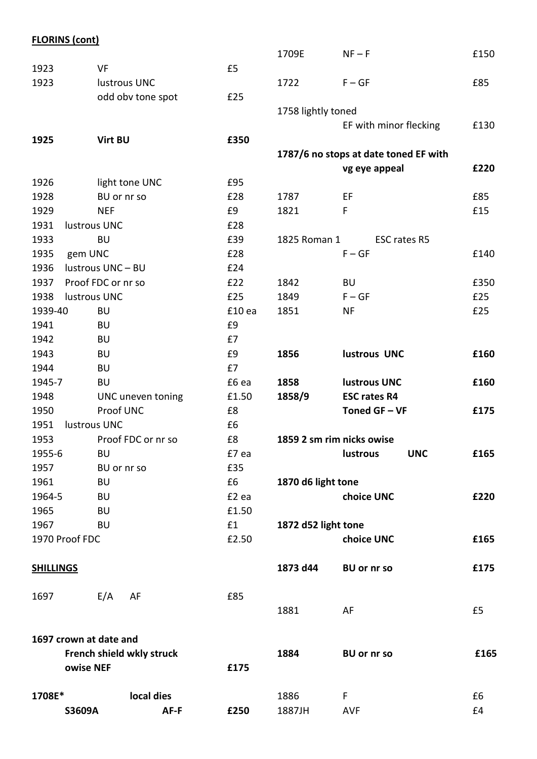# **FLORINS (cont)**

|                  |                           |                     | 1709E               | $NF-F$                                | £150 |
|------------------|---------------------------|---------------------|---------------------|---------------------------------------|------|
| 1923             | <b>VF</b>                 | £5                  |                     |                                       |      |
| 1923             | lustrous UNC              |                     | 1722                | $F - GF$                              | £85  |
|                  | odd obv tone spot         | £25                 |                     |                                       |      |
|                  |                           |                     | 1758 lightly toned  |                                       |      |
|                  |                           |                     |                     | EF with minor flecking                | £130 |
| 1925             | <b>Virt BU</b>            | £350                |                     |                                       |      |
|                  |                           |                     |                     | 1787/6 no stops at date toned EF with |      |
|                  |                           |                     |                     | vg eye appeal                         | £220 |
| 1926             | light tone UNC            | £95                 |                     |                                       |      |
| 1928             | BU or nr so               | £28                 | 1787                | EF                                    | £85  |
| 1929             | <b>NEF</b>                | £9                  | 1821                | F                                     | £15  |
| 1931             | lustrous UNC              | £28                 |                     |                                       |      |
| 1933             | <b>BU</b>                 | £39                 | 1825 Roman 1        | ESC rates R5                          |      |
| 1935             | gem UNC                   | £28                 |                     | $F - GF$                              | £140 |
| 1936             | lustrous UNC - BU         | £24                 |                     |                                       |      |
| 1937             | Proof FDC or nr so        | £22                 | 1842                | <b>BU</b>                             | £350 |
| 1938             | lustrous UNC              | £25                 | 1849                | $F - GF$                              | £25  |
| 1939-40          | <b>BU</b>                 | £10 ea              | 1851                | <b>NF</b>                             | £25  |
| 1941             | <b>BU</b>                 | £9                  |                     |                                       |      |
| 1942             | <b>BU</b>                 | £7                  |                     |                                       |      |
| 1943             | <b>BU</b>                 | £9                  | 1856                | lustrous UNC                          | £160 |
| 1944             | <b>BU</b>                 | £7                  |                     |                                       |      |
| 1945-7           | <b>BU</b>                 | £6 ea               | 1858                | <b>lustrous UNC</b>                   | £160 |
| 1948             | UNC uneven toning         | £1.50               | 1858/9              | <b>ESC rates R4</b>                   |      |
| 1950             | Proof UNC                 | $\pmb{\mathsf{E8}}$ |                     | Toned GF-VF                           | £175 |
| 1951             | lustrous UNC              | £6                  |                     |                                       |      |
| 1953             | Proof FDC or nr so        | £8                  |                     | 1859 2 sm rim nicks owise             |      |
| 1955-6           | <b>BU</b>                 | £7 ea               |                     | <b>UNC</b><br>lustrous                | £165 |
| 1957             | BU or nr so               | £35                 |                     |                                       |      |
| 1961             | BU                        | £6                  | 1870 d6 light tone  |                                       |      |
| 1964-5           | BU                        | £2 ea               |                     | choice UNC                            | £220 |
| 1965             | BU                        | £1.50               |                     |                                       |      |
| 1967             | BU                        | £1                  | 1872 d52 light tone |                                       |      |
| 1970 Proof FDC   |                           | £2.50               |                     | choice UNC                            | £165 |
| <b>SHILLINGS</b> |                           |                     | 1873 d44            | <b>BU or nr so</b>                    | £175 |
| 1697             | E/A<br>AF                 | £85                 |                     |                                       |      |
|                  |                           |                     | 1881                | AF                                    | £5   |
|                  | 1697 crown at date and    |                     |                     |                                       |      |
|                  | French shield wkly struck |                     | 1884                | <b>BU or nr so</b>                    | £165 |
|                  | owise NEF                 | £175                |                     |                                       |      |
| 1708E*           | local dies                |                     | 1886                | F                                     | £6   |
|                  | S3609A<br>AF-F            | £250                | 1887JH              | <b>AVF</b>                            | £4   |
|                  |                           |                     |                     |                                       |      |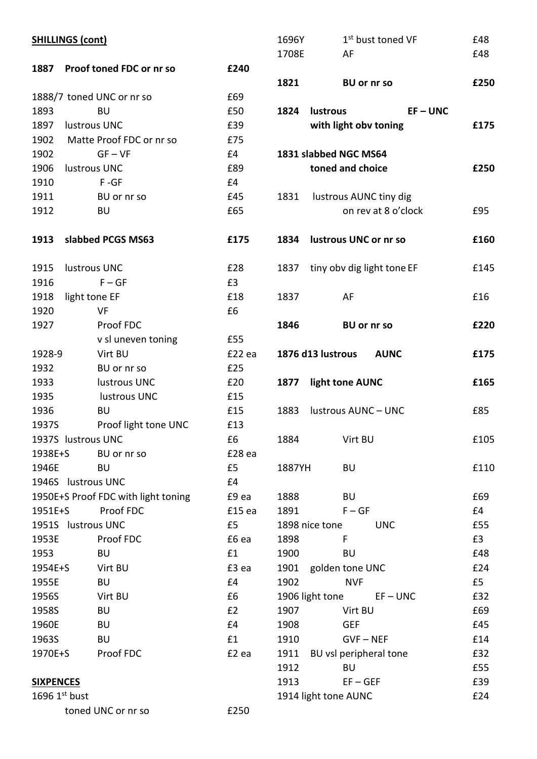|                  | <b>SHILLINGS (cont)</b>             |        | 1696Y        |      |
|------------------|-------------------------------------|--------|--------------|------|
|                  |                                     |        | 1708E        |      |
|                  | 1887 Proof toned FDC or nr so       | £240   |              |      |
|                  | 1888/7 toned UNC or nr so           | £69    | 1821         |      |
| 1893             | <b>BU</b>                           | £50    | 1824         | lust |
|                  | 1897 lustrous UNC                   | £39    |              | wit  |
|                  | 1902 Matte Proof FDC or nr so       | £75    |              |      |
| 1902             | $GF - VF$                           | £4     | 1831 slabb   |      |
|                  | 1906 lustrous UNC                   | £89    |              | ton  |
| 1910             | $F - GF$                            | E4     |              |      |
| 1911             | BU or nr so                         | £45    | 1831         | lus  |
| 1912             | <b>BU</b>                           | £65    |              |      |
|                  | 1913 slabbed PCGS MS63              | £175   | 1834         | lust |
| 1915             | lustrous UNC                        | £28    | 1837         | tiny |
| 1916             | $F - GF$                            | £3     |              |      |
|                  | 1918 light tone EF                  | £18    | 1837         |      |
| 1920             | VF                                  | £6     |              |      |
| 1927             | Proof FDC                           |        | 1846         |      |
|                  | v sl uneven toning                  | £55    |              |      |
| 1928-9           | Virt BU                             | £22 ea | 1876 d13 l   |      |
| 1932             | BU or nr so                         | £25    |              |      |
| 1933             | lustrous UNC                        | £20    | 1877         | ligh |
| 1935             | lustrous UNC                        | £15    |              |      |
| 1936             | <b>BU</b>                           | £15    | 1883         | lust |
| 1937S            | Proof light tone UNC                | £13    |              |      |
|                  | 1937S lustrous UNC                  | £6     | 1884         |      |
| 1938E+S          | BU or nr so                         | £28 ea |              |      |
| 1946E            | <b>BU</b>                           | £5     | 1887YH       |      |
|                  | 1946S lustrous UNC                  | E4     |              |      |
|                  | 1950E+S Proof FDC with light toning | £9 ea  | 1888         |      |
| 1951E+S          | Proof FDC                           | £15 ea | 1891         |      |
|                  | 1951S lustrous UNC                  | £5     | 1898 nice t  |      |
| 1953E            | Proof FDC                           | £6 ea  | 1898         |      |
| 1953             | <b>BU</b>                           | £1     | 1900         |      |
| 1954E+S          | Virt BU                             | £3 ea  | 1901         | gol  |
| 1955E            | <b>BU</b>                           | £4     | 1902         |      |
| 1956S            | Virt BU                             | £6     | 1906 light 1 |      |
| 1958S            | <b>BU</b>                           | E2     | 1907         |      |
| 1960E            | <b>BU</b>                           | E4     | 1908         |      |
| 1963S            | <b>BU</b>                           | £1     | 1910         |      |
| 1970E+S          | Proof FDC                           | £2 ea  | 1911         | BU   |
|                  |                                     |        | 1912         |      |
| <b>SIXPENCES</b> |                                     |        | 1913         |      |
|                  | $1696$ $1st$ bust                   |        | 1914 light 1 |      |
|                  | toned UNC or nr so                  | £250   |              |      |

| 1696Y  | 1 <sup>st</sup> bust toned VF                      | £48  |
|--------|----------------------------------------------------|------|
| 1708E  | - AF                                               | £48  |
|        |                                                    |      |
| 1821   | <b>BU or nr so</b>                                 | £250 |
|        | 1824 lustrous<br>$EF - UNC$                        |      |
|        | with light obv toning                              | £175 |
|        |                                                    |      |
|        | 1831 slabbed NGC MS64                              |      |
|        | toned and choice                                   | £250 |
|        |                                                    |      |
|        | 1831 lustrous AUNC tiny dig<br>on rev at 8 o'clock | £95  |
|        |                                                    |      |
|        | 1834 lustrous UNC or nr so                         | £160 |
|        |                                                    |      |
|        | 1837 tiny obv dig light tone EF                    | £145 |
| 1837   | AF                                                 | £16  |
|        |                                                    |      |
| 1846   | <b>BU or nr so</b>                                 | £220 |
|        | 1876 d13 lustrous AUNC                             | £175 |
|        | 1877 light tone AUNC                               | £165 |
|        |                                                    |      |
|        | 1883 lustrous AUNC - UNC                           | £85  |
| 1884   | Virt BU                                            | £105 |
|        |                                                    |      |
| 1887YH | BU                                                 | £110 |
|        |                                                    |      |
| 1888   | <b>BU</b>                                          | £69  |
| 1891   | $F - GF$                                           | £4   |
|        | 1898 nice tone<br><b>UNC</b>                       | £55  |
| 1898   | F                                                  | £3   |
| 1900   | BU                                                 | £48  |
|        | 1901 golden tone UNC                               | £24  |
| 1902   | <b>NVF</b>                                         | £5   |
|        | 1906 light tone<br>$EF - UNC$                      | £32  |
| 1907   | Virt BU                                            | £69  |
| 1908   | <b>GEF</b>                                         | £45  |
| 1910   | <b>GVF-NEF</b>                                     | £14  |
|        | 1911 BU vsl peripheral tone                        | £32  |
| 1912   | BU                                                 | £55  |
| 1913   | $EF - GEF$                                         | £39  |
|        | 1914 light tone AUNC                               | £24  |
|        |                                                    |      |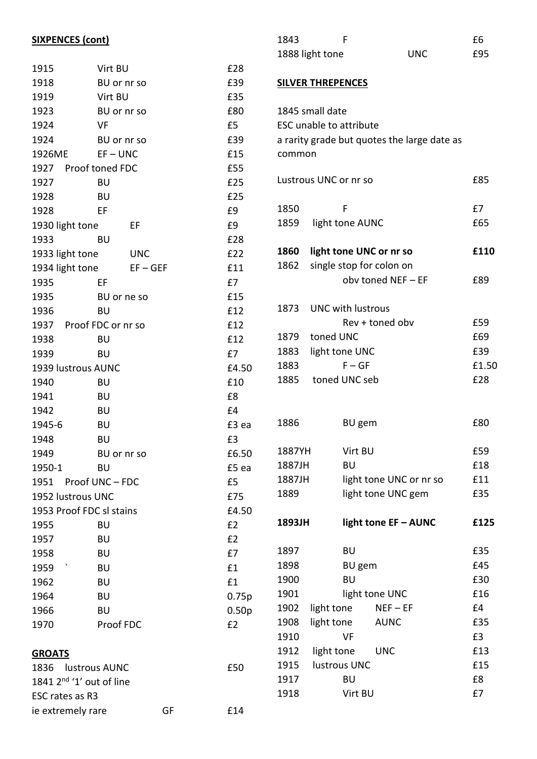# **SIXPENCES (cont)**

| 1915                       | Virt BU     |    | £28               |
|----------------------------|-------------|----|-------------------|
| 1918                       | BU or nr so |    | £39               |
| 1919                       | Virt BU     |    | £35               |
| 1923                       | BU or nr so |    | £80               |
| 1924                       | VF          |    | £5                |
| 1924                       | BU or nr so |    | £39               |
| 1926ME                     | $EF - UNC$  |    | £15               |
| 1927 Proof toned FDC       |             |    | £55               |
| 1927                       | <b>BU</b>   |    | £25               |
| 1928                       | BU          |    | £25               |
| 1928                       | EF          |    | £9                |
| 1930 light tone            | EF          |    | £9                |
| 1933                       | BU          |    | £28               |
| 1933 light tone            | <b>UNC</b>  |    | £22               |
| 1934 light tone            | $EF - GEF$  |    | £11               |
| 1935                       | EF          |    | £7                |
| 1935                       | BU or ne so |    | £15               |
| 1936                       | <b>BU</b>   |    | £12               |
| 1937 Proof FDC or nr so    |             |    | £12               |
| 1938                       | BU          |    | £12               |
| 1939                       | BU          |    | £7                |
| 1939 lustrous AUNC         |             |    | £4.50             |
| 1940                       | <b>BU</b>   |    | £10               |
| 1941                       | <b>BU</b>   |    | £8                |
| 1942                       | <b>BU</b>   |    | £4                |
| 1945-6                     | <b>BU</b>   |    | £3 ea             |
| 1948                       | <b>BU</b>   |    | £3                |
| 1949                       | BU or nr so |    | £6.50             |
| 1950-1                     | BU          |    | £5 ea             |
| 1951 Proof UNC-FDC         |             |    | £5                |
| 1952 lustrous UNC          |             |    | £75               |
| 1953 Proof FDC sl stains   |             |    | £4.50             |
| 1955                       | BU          |    | E2                |
| 1957                       | <b>BU</b>   |    | E2                |
| 1958                       | BU          |    | £7                |
| 1959                       | <b>BU</b>   |    | £1                |
| 1962                       | <b>BU</b>   |    | £1                |
| 1964                       | BU          |    | 0.75p             |
| 1966                       | <b>BU</b>   |    | 0.50 <sub>p</sub> |
| 1970                       | Proof FDC   |    | £2                |
|                            |             |    |                   |
| <b>GROATS</b>              |             |    |                   |
| 1836 lustrous AUNC         |             |    | £50               |
| 1841 $2nd$ '1' out of line |             |    |                   |
| ESC rates as R3            |             |    |                   |
| ie extremely rare          |             | GF | £14               |

| 1843            |     | £6  |
|-----------------|-----|-----|
| 1888 light tone | UNC | £95 |

### **SILVER THREPENCES**

|        | 1845 small date                |                                             |       |
|--------|--------------------------------|---------------------------------------------|-------|
|        | <b>ESC unable to attribute</b> |                                             |       |
|        |                                | a rarity grade but quotes the large date as |       |
|        |                                |                                             |       |
| common |                                |                                             |       |
|        | Lustrous UNC or nr so          |                                             | £85   |
|        |                                |                                             |       |
| 1850   | F                              |                                             | £7    |
| 1859   | light tone AUNC                |                                             | £65   |
| 1860   | light tone UNC or nr so        |                                             | £110  |
| 1862   | single stop for colon on       |                                             |       |
|        |                                | obv toned NEF - EF                          | £89   |
|        |                                |                                             |       |
| 1873   | <b>UNC with lustrous</b>       |                                             |       |
|        |                                | Rev + toned obv                             | £59   |
| 1879   | toned UNC                      |                                             | £69   |
| 1883   | light tone UNC                 |                                             | £39   |
| 1883   | $F - GF$                       |                                             | £1.50 |
| 1885   | toned UNC seb                  |                                             | £28   |
|        |                                |                                             |       |
|        |                                |                                             |       |
| 1886   | <b>BU</b> gem                  |                                             | £80   |
| 1887YH | Virt BU                        |                                             | £59   |
| 1887JH | BU                             |                                             | £18   |
| 1887JH |                                | light tone UNC or nr so                     | £11   |
| 1889   |                                | light tone UNC gem                          | £35   |
|        |                                |                                             |       |
| 1893JH |                                | light tone EF - AUNC                        | £125  |
| 1897   | <b>BU</b>                      |                                             | £35   |
| 1898   | <b>BU</b> gem                  |                                             | £45   |
| 1900   | <b>BU</b>                      |                                             | £30   |
| 1901   |                                | light tone UNC                              | £16   |
| 1902   | light tone NEF-EF              |                                             | £4    |
| 1908   | light tone AUNC                |                                             | £35   |
| 1910   | VF                             |                                             | £3    |
| 1912   | light tone UNC                 |                                             | £13   |
| 1915   | lustrous UNC                   |                                             | £15   |
| 1917   | BU                             |                                             | £8    |
| 1918   | Virt BU                        |                                             | £7    |
|        |                                |                                             |       |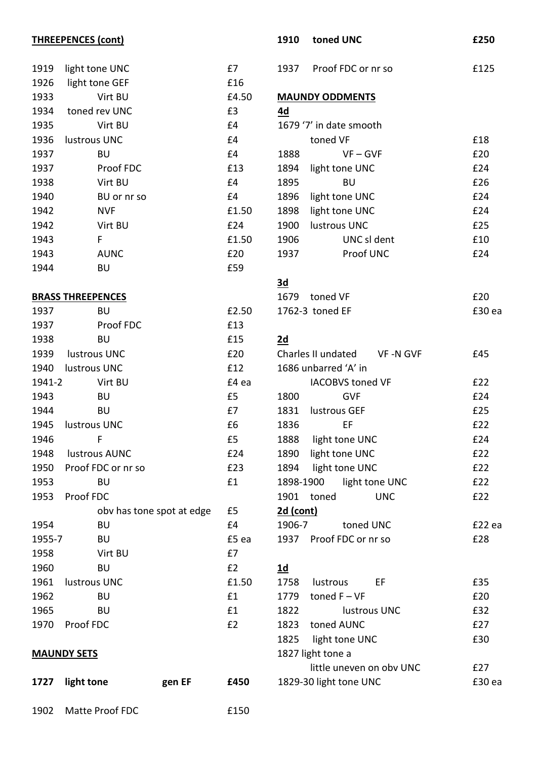|        | <b>THREEPENCES (cont)</b> |       | 1910      | toned UNC                   | £250   |
|--------|---------------------------|-------|-----------|-----------------------------|--------|
| 1919   | light tone UNC            | £7    | 1937      | Proof FDC or nr so          | £125   |
| 1926   | light tone GEF            | £16   |           |                             |        |
| 1933   | Virt BU                   | £4.50 |           | <b>MAUNDY ODDMENTS</b>      |        |
| 1934   | toned rev UNC             | £3    | 4d        |                             |        |
| 1935   | Virt BU                   | £4    |           | 1679 '7' in date smooth     |        |
| 1936   | lustrous UNC              | £4    |           | toned VF                    | £18    |
| 1937   | <b>BU</b>                 | £4    | 1888      | $VF - GVF$                  | £20    |
| 1937   | Proof FDC                 | £13   | 1894      | light tone UNC              | £24    |
| 1938   | Virt BU                   | £4    | 1895      | <b>BU</b>                   | £26    |
| 1940   | BU or nr so               | £4    | 1896      | light tone UNC              | £24    |
| 1942   | <b>NVF</b>                | £1.50 | 1898      | light tone UNC              | £24    |
| 1942   | Virt BU                   | £24   | 1900      | lustrous UNC                | £25    |
| 1943   | F                         | £1.50 | 1906      | UNC sl dent                 | £10    |
| 1943   | <b>AUNC</b>               | £20   | 1937      | Proof UNC                   | £24    |
| 1944   | <b>BU</b>                 | £59   |           |                             |        |
|        |                           |       | 3d        |                             |        |
|        | <b>BRASS THREEPENCES</b>  |       | 1679      | toned VF                    | £20    |
| 1937   | <b>BU</b>                 | £2.50 |           | 1762-3 toned EF             | £30 ea |
| 1937   | Proof FDC                 | £13   |           |                             |        |
| 1938   | <b>BU</b>                 | £15   | 2d        |                             |        |
| 1939   | lustrous UNC              | £20   |           | Charles II undated VF-N GVF | £45    |
| 1940   | lustrous UNC              | £12   |           | 1686 unbarred 'A' in        |        |
| 1941-2 | Virt BU                   | £4 ea |           | <b>IACOBVS toned VF</b>     | £22    |
| 1943   | <b>BU</b>                 | £5    | 1800      | <b>GVF</b>                  | £24    |
| 1944   | <b>BU</b>                 | £7    | 1831      | lustrous GEF                | £25    |
| 1945   | lustrous UNC              | £6    | 1836      | EF                          | £22    |
| 1946   |                           | £5    |           | 1888 light tone UNC         | £24    |
| 1948   | lustrous AUNC             | £24   | 1890      | light tone UNC              | £22    |
| 1950   | Proof FDC or nr so        | £23   | 1894      | light tone UNC              | £22    |
| 1953   | <b>BU</b>                 | £1    | 1898-1900 | light tone UNC              | £22    |
| 1953   | Proof FDC                 |       |           | 1901 toned<br><b>UNC</b>    | £22    |
|        | oby has tone spot at edge | £5    | 2d (cont) |                             |        |
| 1954   | <b>BU</b>                 | £4    | 1906-7    | toned UNC                   | £22 ea |
| 1955-7 | <b>BU</b>                 | £5 ea |           | 1937 Proof FDC or nr so     | £28    |
| 1958   | Virt BU                   | £7    |           |                             |        |
| 1960   | <b>BU</b>                 | E2    | <u>1d</u> |                             |        |
| 1961   | lustrous UNC              | £1.50 | 1758      | lustrous<br>EF              | £35    |
| 1962   | <b>BU</b>                 | £1    | 1779      | toned $F - VF$              | £20    |
| 1965   | <b>BU</b>                 | £1    | 1822      | lustrous UNC                | £32    |
| 1970   | Proof FDC                 | E2    | 1823      | toned AUNC                  | £27    |
|        |                           |       | 1825      | light tone UNC              | £30    |
|        | <b>MAUNDY SETS</b>        |       |           | 1827 light tone a           |        |
|        |                           |       |           | little uneven on obv UNC    | £27    |
| 1727   | light tone<br>gen EF      | £450  |           | 1829-30 light tone UNC      | £30 ea |

1902 Matte Proof FDC 6150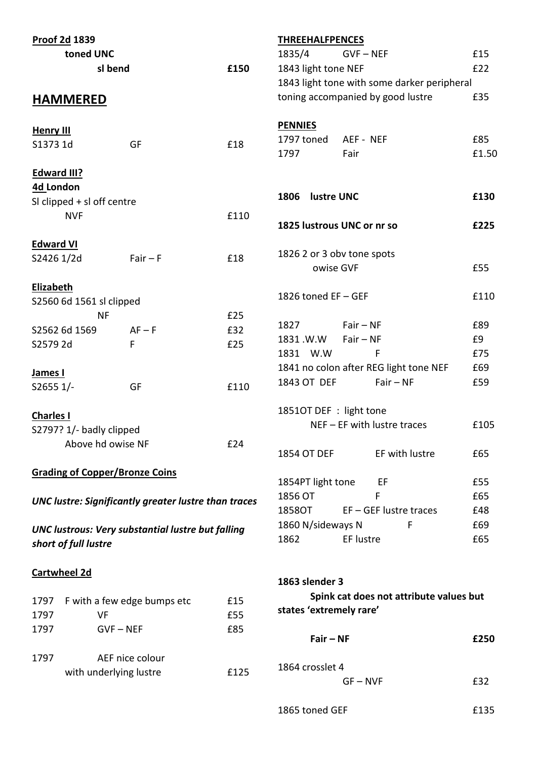| Proof 2d 1839                         |                                                             |      | <b>THREEHALFPENCES</b>    |                                             |                |       |
|---------------------------------------|-------------------------------------------------------------|------|---------------------------|---------------------------------------------|----------------|-------|
| toned UNC                             |                                                             |      | 1835/4                    | $GVF - NEF$                                 |                | £15   |
| sl bend                               |                                                             | £150 | 1843 light tone NEF       |                                             |                | £22   |
|                                       |                                                             |      |                           | 1843 light tone with some darker peripheral |                |       |
| <b>HAMMERED</b>                       |                                                             |      |                           | toning accompanied by good lustre           |                | £35   |
| <b>Henry III</b>                      |                                                             |      | <b>PENNIES</b>            |                                             |                |       |
| S1373 1d                              | GF                                                          | £18  | 1797 toned                | AEF - NEF                                   |                | £85   |
|                                       |                                                             |      | 1797                      | Fair                                        |                | £1.50 |
| <b>Edward III?</b>                    |                                                             |      |                           |                                             |                |       |
| 4d London                             |                                                             |      |                           |                                             |                | £130  |
| SI clipped $+$ sI off centre          |                                                             |      | <b>lustre UNC</b><br>1806 |                                             |                |       |
| <b>NVF</b>                            |                                                             | £110 |                           | 1825 lustrous UNC or nr so                  |                | £225  |
|                                       |                                                             |      |                           |                                             |                |       |
| <b>Edward VI</b>                      |                                                             |      |                           | 1826 2 or 3 obv tone spots                  |                |       |
| S2426 1/2d                            | $Fair - F$                                                  | £18  |                           | owise GVF                                   |                | £55   |
| <b>Elizabeth</b>                      |                                                             |      |                           |                                             |                |       |
| S2560 6d 1561 sl clipped              |                                                             |      | 1826 toned EF - GEF       |                                             |                | £110  |
| <b>NF</b>                             |                                                             | £25  |                           |                                             |                |       |
| S2562 6d 1569                         | $AF - F$                                                    | £32  | 1827                      | $Fair - NF$                                 |                | £89   |
| S2579 2d                              | F                                                           | £25  | 1831.W.W                  | $Fair - NF$                                 |                | £9    |
|                                       |                                                             |      | 1831 W.W                  | $\mathsf{F}$                                |                | £75   |
| James I                               |                                                             |      |                           | 1841 no colon after REG light tone NEF      |                | £69   |
| S2655 1/-                             | GF                                                          | £110 | 1843 OT DEF               | $Fair - NF$                                 |                | £59   |
|                                       |                                                             |      | 1851OT DEF : light tone   |                                             |                |       |
| <b>Charles I</b>                      |                                                             |      |                           |                                             |                | £105  |
| S2797? 1/- badly clipped              |                                                             |      |                           | $NEF - EF$ with lustre traces               |                |       |
| Above hd owise NF                     |                                                             | £24  |                           |                                             | EF with lustre | £65   |
|                                       |                                                             |      | 1854 OT DEF               |                                             |                |       |
| <b>Grading of Copper/Bronze Coins</b> |                                                             |      | 1854PT light tone         | EF                                          |                | £55   |
|                                       |                                                             |      | 1856 OT                   | F                                           |                | £65   |
|                                       | <b>UNC lustre: Significantly greater lustre than traces</b> |      | 1858OT                    | $EF - GEF$ lustre traces                    |                | £48   |
|                                       |                                                             |      | 1860 N/sideways N         |                                             | F              | £69   |
|                                       | <b>UNC lustrous: Very substantial lustre but falling</b>    |      | 1862                      | EF lustre                                   |                | £65   |
| short of full lustre                  |                                                             |      |                           |                                             |                |       |
| <b>Cartwheel 2d</b>                   |                                                             |      |                           |                                             |                |       |
|                                       |                                                             |      | 1863 slender 3            |                                             |                |       |
| 1797                                  | F with a few edge bumps etc                                 | £15  |                           | Spink cat does not attribute values but     |                |       |
| <b>VF</b><br>1797                     |                                                             | £55  | states 'extremely rare'   |                                             |                |       |
| 1797                                  | $GVF - NEF$                                                 | £85  |                           |                                             |                |       |
|                                       |                                                             |      | $Fair - NF$               |                                             |                | £250  |
| 1797                                  | AEF nice colour                                             |      |                           |                                             |                |       |
| with underlying lustre                |                                                             | £125 | 1864 crosslet 4           |                                             |                |       |
|                                       |                                                             |      |                           | $GF - NVF$                                  |                | £32   |
|                                       |                                                             |      | 1865 toned GEF            |                                             |                | £135  |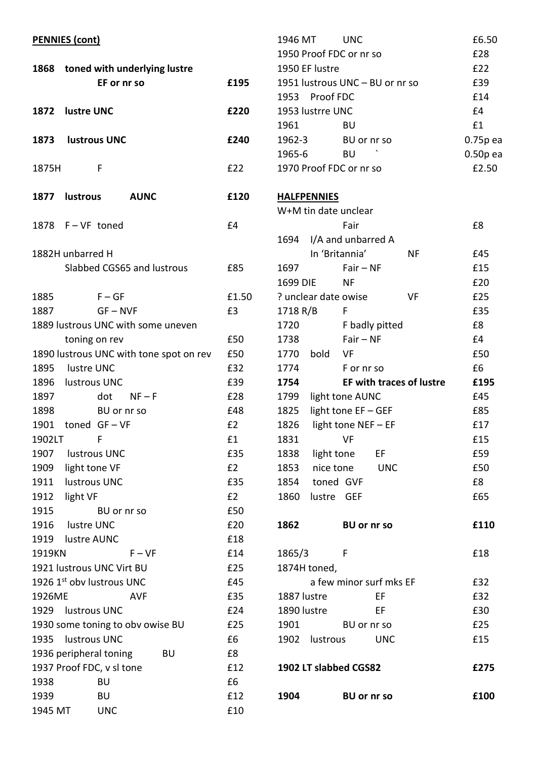|              | <b>PENNIES (cont)</b>                            |           |
|--------------|--------------------------------------------------|-----------|
|              | 1868 toned with underlying lustre<br>EF or nr so | £195      |
|              | 1872 lustre UNC                                  | £220      |
|              | 1873 lustrous UNC                                | £240      |
| 1875H        | -F                                               | £22       |
|              | <b>AUNC</b><br>1877 lustrous                     | £120      |
|              | 1878 F-VF toned                                  | £4        |
|              | 1882H unbarred H<br>Slabbed CGS65 and lustrous   | £85       |
| 1885         | $F - GF$                                         | £1.50     |
| 1887         | $GF - NVF$                                       | £3        |
|              | 1889 lustrous UNC with some uneven               |           |
|              | toning on rev                                    | £50       |
|              | 1890 lustrous UNC with tone spot on rev          | £50       |
|              | 1895 lustre UNC                                  | £32       |
|              | 1896 lustrous UNC                                | £39       |
| 1897         | $dot$ NF-F                                       | £28       |
| 1898         | BU or nr so                                      | £48       |
|              | 1901 toned GF-VF                                 | £2        |
| 1902LT       | F                                                | £1        |
| 1907         | lustrous UNC                                     | £35       |
| 1909<br>1911 | light tone VF<br>lustrous UNC                    | £2<br>£35 |
|              |                                                  | £2        |
| 1912<br>1915 | light VF                                         | £50       |
| 1916         | BU or nr so<br>lustre UNC                        | £20       |
| 1919         | lustre AUNC                                      | £18       |
| 1919KN       | $F - VF$                                         | £14       |
|              | 1921 lustrous UNC Virt BU                        | £25       |
|              | 1926 1st obv lustrous UNC                        | £45       |
| 1926ME       | <b>AVF</b>                                       | £35       |
|              | 1929 lustrous UNC                                | £24       |
|              | 1930 some toning to obv owise BU                 | £25       |
| 1935         | lustrous UNC                                     | £6        |
|              | 1936 peripheral toning<br>BU                     | £8        |
|              | 1937 Proof FDC, v sl tone                        | £12       |
| 1938         | BU                                               | £6        |
| 1939         | <b>BU</b>                                        | £12       |
| 1945 MT      | <b>UNC</b>                                       | £10       |

| 1946 MT          | <b>UNC</b>                      | £6.50      |
|------------------|---------------------------------|------------|
|                  | 1950 Proof FDC or nr so         | £28        |
| 1950 EF lustre   |                                 | f22        |
|                  | 1951 lustrous UNC – BU or nr so | £39        |
| 1953 Proof FDC   |                                 | f14        |
| 1953 lustrre UNC |                                 | f4         |
| 1961             | BU                              | f1         |
| 1962-3           | BU or nr so                     | $0.75p$ ea |
| 1965-6           | $\cdot$<br>BU                   | $0.50p$ ea |
|                  | 1970 Proof FDC or nr so         | £2.50      |
|                  |                                 |            |

# **HALFPENNIES**

| W+M tin date unclear |            |                      |                    |                                 |      |
|----------------------|------------|----------------------|--------------------|---------------------------------|------|
|                      |            | Fair                 |                    |                                 | £8   |
| 1694                 |            | I/A and unbarred A   |                    |                                 |      |
|                      |            | In 'Britannia'       |                    | <b>NF</b>                       | £45  |
| 1697                 |            | $Fair - NF$          |                    |                                 | £15  |
| 1699 DIE             |            | ΝF                   |                    |                                 | £20  |
|                      |            | ? unclear date owise |                    | VF                              | £25  |
| 1718 R/B             |            | F                    |                    |                                 | £35  |
| 1720                 |            |                      | F badly pitted     |                                 | £8   |
| 1738                 |            | $Fair - NF$          |                    |                                 | £4   |
| 1770                 | bold       | VF                   |                    |                                 | £50  |
| 1774                 |            | F or nr so           |                    |                                 | £6   |
| 1754                 |            |                      |                    | <b>EF with traces of lustre</b> | £195 |
| 1799                 |            | light tone AUNC      |                    |                                 | £45  |
| 1825                 |            | light tone EF - GEF  |                    |                                 | £85  |
| 1826                 |            | light tone NEF - EF  |                    |                                 | £17  |
| 1831                 |            | VF                   |                    |                                 | £15  |
| 1838                 | light tone |                      | e EF               |                                 | £59  |
| 1853                 |            | nice tone            | <b>UNC</b>         |                                 | £50  |
| 1854                 |            | toned GVF            |                    |                                 | £8   |
| 1860                 |            | lustre GEF           |                    |                                 | £65  |
|                      |            |                      |                    |                                 |      |
| 1862                 |            |                      | <b>BU</b> or nr so |                                 | £110 |
|                      |            |                      |                    |                                 |      |
| 1865/3               |            | F                    |                    |                                 | £18  |

| ----        |                       |                         |      |
|-------------|-----------------------|-------------------------|------|
|             | 1874H toned,          |                         |      |
|             |                       | a few minor surf mks EF | £32  |
| 1887 lustre |                       | ЕF                      | £32  |
| 1890 lustre |                       | FF                      | £30  |
| 1901        |                       | BU or nr so             | £25  |
|             | 1902 lustrous         | UNC.                    | £15  |
|             | 1902 LT slabbed CGS82 |                         | £275 |
|             |                       |                         |      |
| 1904        |                       | BU or nr so             | £100 |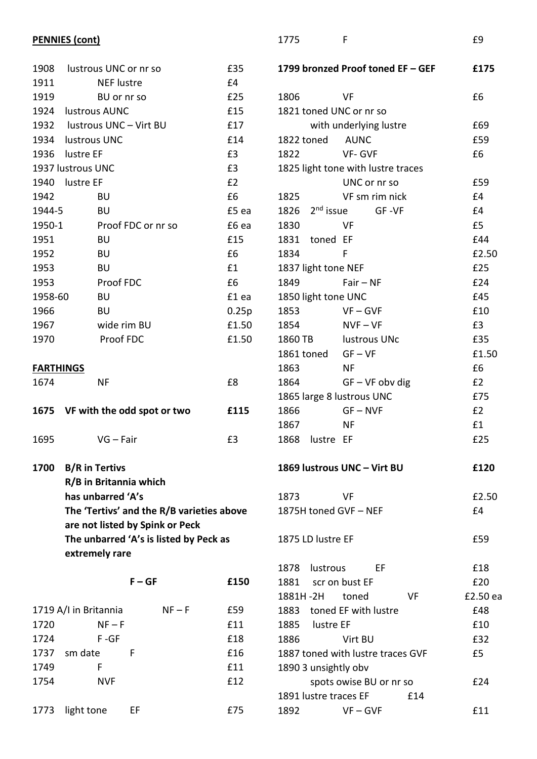## **PENNIES (cont)**

| 1908             | lustrous UNC or nr so            |                                           | £35        |
|------------------|----------------------------------|-------------------------------------------|------------|
| 1911             | <b>NEF</b> lustre                |                                           | £4         |
| 1919             | BU or nr so                      |                                           | £25        |
|                  | 1924 lustrous AUNC               |                                           | £15        |
|                  | 1932 lustrous UNC - Virt BU      |                                           | £17        |
|                  | 1934 lustrous UNC                |                                           | £14        |
|                  | 1936 lustre EF                   |                                           | £3         |
|                  | 1937 lustrous UNC                |                                           | £3         |
| 1940             | lustre EF                        |                                           | £2         |
| 1942             | BU                               |                                           | £6         |
| 1944-5           | BU                               |                                           | £5 ea      |
| 1950-1           |                                  | Proof FDC or nr so                        | £6 ea      |
| 1951             | <b>BU</b>                        |                                           | £15        |
| 1952             | BU                               |                                           | £6         |
| 1953             | BU                               |                                           | £1         |
| 1953             | Proof FDC                        |                                           | £6         |
| 1958-60          | BU                               |                                           | £1 ea      |
| 1966             | BU                               |                                           | 0.25p      |
| 1967             | wide rim BU                      |                                           | £1.50      |
| 1970             | Proof FDC                        |                                           | £1.50      |
|                  |                                  |                                           |            |
| <b>FARTHINGS</b> |                                  |                                           |            |
| 1674             | <b>NF</b>                        |                                           | £8         |
|                  |                                  |                                           |            |
|                  |                                  |                                           |            |
|                  | 1675 VF with the odd spot or two |                                           | £115       |
|                  |                                  |                                           |            |
| 1695             | $VG - Fair$                      |                                           | £3         |
|                  |                                  |                                           |            |
| 1700             | <b>B/R</b> in Tertivs            |                                           |            |
|                  | R/B in Britannia which           |                                           |            |
|                  | has unbarred 'A's                |                                           |            |
|                  |                                  | The 'Tertivs' and the R/B varieties above |            |
|                  |                                  | are not listed by Spink or Peck           |            |
|                  |                                  | The unbarred 'A's is listed by Peck as    |            |
|                  | extremely rare                   |                                           |            |
|                  |                                  |                                           |            |
|                  |                                  | $F - GF$                                  | £150       |
|                  |                                  |                                           |            |
|                  | 1719 A/I in Britannia            | $NF-F$                                    | £59        |
| 1720             | $NF-F$                           |                                           | £11        |
| 1724             | $F - GF$                         |                                           | £18        |
| 1737<br>1749     | sm date<br>F                     | F                                         | £16<br>£11 |

1754 NVF £12

1773 light tone EF 675

|                           | with underlying lustre             | £69   |
|---------------------------|------------------------------------|-------|
| 1822 toned                | AUNC                               | £59   |
| 1822                      | VF- GVF                            | £6    |
|                           | 1825 light tone with lustre traces |       |
|                           | UNC or nr so                       | £59   |
| 1825                      | VF sm rim nick                     | £4    |
|                           | 1826 2 <sup>nd</sup> issue GF-VF   | £4    |
| 1830                      | VF                                 | £5    |
| 1831 toned EF             |                                    | £44   |
| 1834                      | F                                  | £2.50 |
| 1837 light tone NEF       |                                    | £25   |
| 1849                      | $Fair - NF$                        | £24   |
| 1850 light tone UNC       |                                    | £45   |
| 1853                      | $VF - GVF$                         | £10   |
| 1854                      | $NVF - VF$                         | £3    |
| 1860 TB lustrous UNc      |                                    | £35   |
| 1861 toned GF-VF          |                                    | £1.50 |
| 1863                      | ΝF                                 | £6    |
| 1864                      | $GF - VF$ obv dig                  | £2    |
| 1865 large 8 lustrous UNC |                                    | £75   |
| 1866                      | GF – NVF                           | £2    |
|                           |                                    |       |

1775 F £9

**1799 bronzed Proof toned EF – GEF £175**

1806 VF £6

1821 toned UNC or nr so

**1869 lustrous UNC – Virt BU £120**

1867 NF **£1** 1868 lustre EF <br>
£25

| 1873                  | VF | £2.50 |
|-----------------------|----|-------|
| 1875H toned GVF - NEF |    | f4    |

```
1875 LD lustre EF 1875 LD lustre EF
```

|      | 1878 lustrous                     |                         | FF. |     | £18      |  |
|------|-----------------------------------|-------------------------|-----|-----|----------|--|
|      | 1881 scr on bust EF               |                         |     |     | £20      |  |
|      | 1881H-2H toned                    |                         |     | VF  | £2.50 ea |  |
|      | 1883 toned EF with lustre         |                         |     |     | £48      |  |
|      | 1885 lustre EF                    |                         |     |     | £10      |  |
| 1886 |                                   | Virt BU                 |     |     | £32      |  |
|      | 1887 toned with lustre traces GVF |                         |     |     | £5       |  |
|      | 1890 3 unsightly obv              |                         |     |     |          |  |
|      |                                   | spots owise BU or nr so |     |     | £24      |  |
|      | 1891 lustre traces EF             |                         |     | £14 |          |  |
| 1892 |                                   | $VF - GVF$              |     |     | £11      |  |
|      |                                   |                         |     |     |          |  |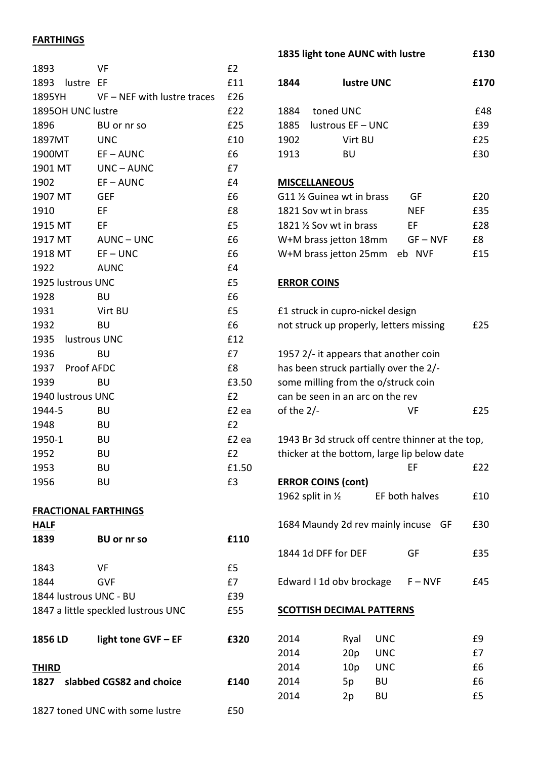# **FARTHINGS**

| 1893                 | VF                            | £2    |
|----------------------|-------------------------------|-------|
| 1893 lustre EF       |                               | £11   |
| 1895YH               | $VF - NEF$ with lustre traces | £26   |
| 1895OH UNC lustre    |                               | £22   |
| 1896                 | BU or nr so                   | £25   |
| 1897MT               | <b>UNC</b>                    | £10   |
| 1900MT               | $EF - AUNC$                   | £6    |
| 1901 MT              | UNC-AUNC                      | £7    |
| 1902                 | $EF - AUNC$                   | £4    |
| 1907 MT              | <b>GEF</b>                    | £6    |
| 1910                 | EF                            | £8    |
| 1915 MT              | EF                            | £5    |
| 1917 MT              | AUNC-UNC                      | £6    |
| 1918 MT              | $EF - UNC$                    | £6    |
| 1922                 | <b>AUNC</b>                   | £4    |
| 1925 lustrous UNC    |                               | £5    |
| 1928                 | BU                            | £6    |
| 1931                 | Virt BU                       | £5    |
| 1932                 | BU                            | £6    |
| 1935<br>lustrous UNC |                               | £12   |
| 1936                 | <b>BU</b>                     | £7    |
| 1937 Proof AFDC      |                               | £8    |
| 1939                 | <b>BU</b>                     | £3.50 |
| 1940 lustrous UNC    |                               | £2    |
| 1944-5               | <b>BU</b>                     | £2 ea |
| 1948                 | <b>BU</b>                     | E2    |
| 1950-1               | <b>BU</b>                     | £2 ea |
| 1952                 | <b>BU</b>                     | £2    |
| 1953                 | <b>BU</b>                     | £1.50 |
| 1956                 | <b>BU</b>                     | £3    |
|                      |                               |       |
|                      |                               |       |

#### **FRACTIONAL FARTHINGS**

| HALF           |                                     |      |
|----------------|-------------------------------------|------|
| 1839           | <b>BU or nr so</b>                  | f110 |
|                |                                     |      |
| 1843           | VF                                  | £5   |
| 1844           | GVF                                 | £7   |
|                | 1844 Iustrous UNC - BU              | £39  |
|                | 1847 a little speckled lustrous UNC | £55  |
|                |                                     |      |
| <b>1856 LD</b> | light tone GVF - EF                 | £320 |
|                |                                     |      |
| <b>THIRD</b>   |                                     |      |
| 1827           | slabbed CGS82 and choice            | £140 |
|                |                                     |      |
|                | 1827 toned UNC with some lustre     | £50  |

| 1835 light tone AUNC with lustre | £130 |
|----------------------------------|------|
|                                  |      |

| 1844 | <b>lustre UNC</b>          |                  | £170 |
|------|----------------------------|------------------|------|
| 1884 | toned UNC                  |                  | £48  |
| 1885 | lustrous EF - UNC          |                  | £39  |
| 1902 | Virt BU                    |                  | £25  |
| 1913 | BU                         |                  | £30  |
|      |                            |                  |      |
|      | <b>MISCELLANEOUS</b>       |                  |      |
|      | G11 1/2 Guinea wt in brass | GF               | £20  |
|      | 1821 Sov wt in brass       | <b>NEF</b>       | £35  |
|      | 1821 % Sov wt in brass     | ЕF               | £28  |
|      | W+M brass jetton 18mm      | $GF - NVF$       | £8   |
|      | W+M brass jetton 25mm      | eb<br><b>NVF</b> | £15  |

# **ERROR COINS**

| £1 struck in cupro-nickel design<br>not struck up properly, letters missing                                                                                                |      |            |                |    |     |  |
|----------------------------------------------------------------------------------------------------------------------------------------------------------------------------|------|------------|----------------|----|-----|--|
| 1957 2/- it appears that another coin<br>has been struck partially over the 2/-<br>some milling from the o/struck coin<br>can be seen in an arc on the rev<br>of the $2/-$ |      |            | VF             |    | £25 |  |
|                                                                                                                                                                            |      |            |                |    |     |  |
| 1943 Br 3d struck off centre thinner at the top,<br>thicker at the bottom, large lip below date                                                                            |      |            |                |    |     |  |
|                                                                                                                                                                            |      |            | ЕF             |    | £22 |  |
| <b>ERROR COINS (cont)</b>                                                                                                                                                  |      |            |                |    |     |  |
| 1962 split in $\frac{1}{2}$                                                                                                                                                |      |            | EF both halves |    | £10 |  |
| 1684 Maundy 2d rev mainly incuse                                                                                                                                           |      |            |                | GF | £30 |  |
| 1844 1d DFF for DEF                                                                                                                                                        |      |            | GF             |    | £35 |  |
| Edward I 1d obv brockage                                                                                                                                                   |      |            | $F - NVF$      |    | £45 |  |
| <b>SCOTTISH DECIMAL PATTERNS</b>                                                                                                                                           |      |            |                |    |     |  |
| 2014                                                                                                                                                                       | Ryal | <b>UNC</b> |                |    | f٩  |  |

| 2014 |                 | Ryal UNC   | £9 |
|------|-----------------|------------|----|
| 2014 | 20 <sub>p</sub> | <b>UNC</b> | £7 |
| 2014 | 10p             | <b>UNC</b> | £6 |
| 2014 | 5p              | BU         | £6 |
| 2014 | 2p              | BU         | £5 |
|      |                 |            |    |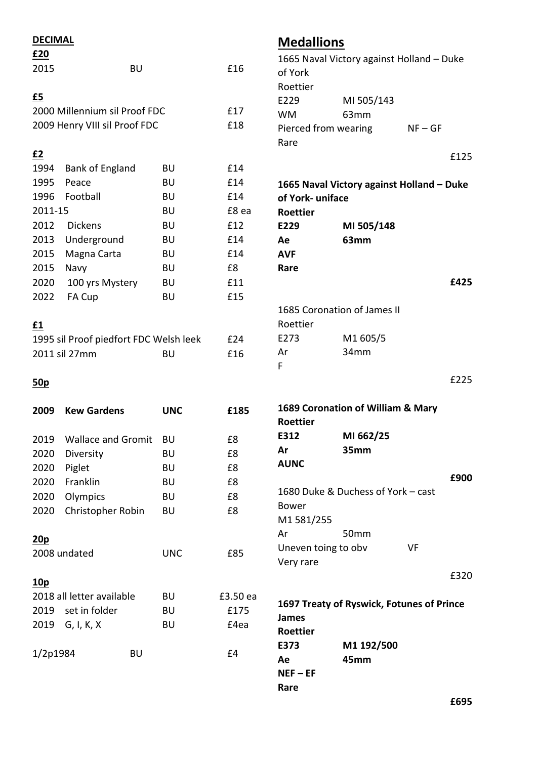| <b>DECIMAL</b>   |                                        |            |          | <b>Medallions</b>    |                                           |           |
|------------------|----------------------------------------|------------|----------|----------------------|-------------------------------------------|-----------|
| £20              |                                        |            |          |                      | 1665 Naval Victory against Holland - Duke |           |
| 2015             | <b>BU</b>                              |            | £16      | of York              |                                           |           |
|                  |                                        |            |          | Roettier             |                                           |           |
| $\underline{f5}$ |                                        |            |          | E229                 | MI 505/143                                |           |
|                  | 2000 Millennium sil Proof FDC          |            | £17      | <b>WM</b>            | 63mm                                      |           |
|                  | 2009 Henry VIII sil Proof FDC          |            | £18      | Pierced from wearing |                                           | $NF - GF$ |
|                  |                                        |            |          | Rare                 |                                           |           |
| <u>£2</u>        |                                        |            |          |                      |                                           | £125      |
| 1994             | <b>Bank of England</b>                 | <b>BU</b>  | £14      |                      |                                           |           |
| 1995             | Peace                                  | <b>BU</b>  | £14      |                      | 1665 Naval Victory against Holland - Duke |           |
| 1996             | Football                               | <b>BU</b>  | £14      | of York-uniface      |                                           |           |
| 2011-15          |                                        | <b>BU</b>  | £8 ea    | Roettier             |                                           |           |
| 2012             | <b>Dickens</b>                         | <b>BU</b>  | £12      | E229                 | MI 505/148                                |           |
| 2013             | Underground                            | <b>BU</b>  | £14      | Ae                   | 63mm                                      |           |
| 2015             | Magna Carta                            | <b>BU</b>  | £14      | <b>AVF</b>           |                                           |           |
| 2015             | Navy                                   | <b>BU</b>  | £8       | Rare                 |                                           |           |
| 2020             | 100 yrs Mystery                        | <b>BU</b>  | £11      |                      |                                           | £425      |
| 2022             | FA Cup                                 | <b>BU</b>  | £15      |                      |                                           |           |
|                  |                                        |            |          |                      | 1685 Coronation of James II               |           |
| $\underline{f1}$ |                                        |            |          | Roettier             |                                           |           |
|                  | 1995 sil Proof piedfort FDC Welsh leek |            | £24      | E273                 | M1 605/5                                  |           |
|                  | 2011 sil 27mm                          | <b>BU</b>  | £16      | Ar                   | 34mm                                      |           |
|                  |                                        |            |          | F                    |                                           |           |
| 50 <sub>p</sub>  |                                        |            |          |                      |                                           | £225      |
|                  |                                        |            |          |                      | 1689 Coronation of William & Mary         |           |
| 2009             | <b>Kew Gardens</b>                     | <b>UNC</b> | £185     | <b>Roettier</b>      |                                           |           |
|                  | 2019 Wallace and Gromit                | BU         | £8       | E312                 | MI 662/25                                 |           |
| 2020             |                                        |            | £8       | Ar                   | 35mm                                      |           |
|                  | Diversity                              | <b>BU</b>  |          | <b>AUNC</b>          |                                           |           |
| 2020             | Piglet                                 | BU         | £8       |                      |                                           | £900      |
| 2020             | Franklin                               | <b>BU</b>  | £8<br>£8 |                      | 1680 Duke & Duchess of York - cast        |           |
| 2020             | Olympics                               | <b>BU</b>  |          | <b>Bower</b>         |                                           |           |
| 2020             | Christopher Robin                      | <b>BU</b>  | £8       | M1 581/255           |                                           |           |
|                  |                                        |            |          | Ar                   | 50mm                                      |           |
| 20p              |                                        |            | £85      | Uneven toing to obv  | VF                                        |           |
|                  | 2008 undated                           | <b>UNC</b> |          | Very rare            |                                           |           |
|                  |                                        |            |          |                      |                                           | £320      |
| <u>10p</u>       | 2018 all letter available              | <b>BU</b>  | £3.50 ea |                      |                                           |           |
| 2019             | set in folder                          | <b>BU</b>  | £175     |                      | 1697 Treaty of Ryswick, Fotunes of Prince |           |
|                  |                                        |            |          | <b>James</b>         |                                           |           |
| 2019             | G, I, K, X                             | BU         | £4ea     | Roettier             |                                           |           |
|                  |                                        |            | £4       | E373                 | M1 192/500                                |           |
| 1/2p1984         | <b>BU</b>                              |            |          | Ae                   | 45mm                                      |           |
|                  |                                        |            |          | $NEF - EF$           |                                           |           |
|                  |                                        |            |          | Rare                 |                                           |           |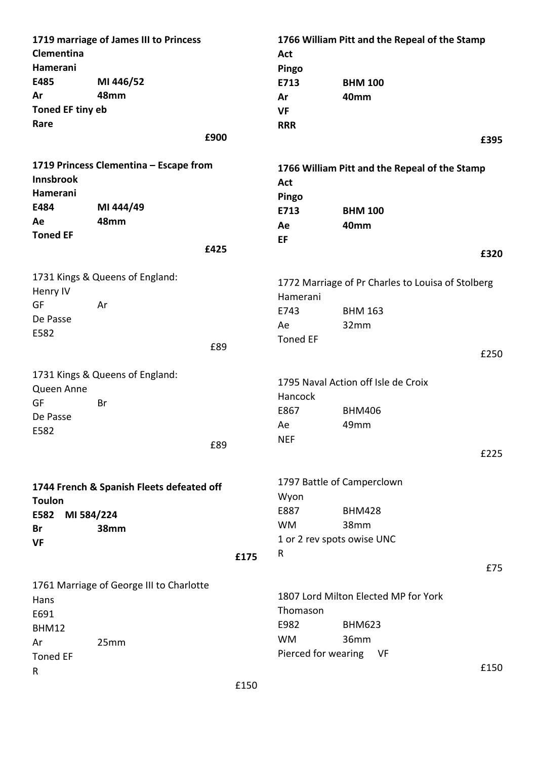| Clementina         | 1719 marriage of James III to Princess    |      | Act                        | 1766 William Pitt and the Repeal of the Stamp     |      |
|--------------------|-------------------------------------------|------|----------------------------|---------------------------------------------------|------|
| Hamerani           |                                           |      | Pingo                      |                                                   |      |
| E485               | MI 446/52                                 |      | E713                       | <b>BHM 100</b>                                    |      |
| Ar                 | 48mm                                      |      | Ar                         | 40mm                                              |      |
| Toned EF tiny eb   |                                           |      | <b>VF</b>                  |                                                   |      |
| Rare               |                                           |      | <b>RRR</b>                 |                                                   |      |
|                    | £900                                      |      |                            |                                                   | £395 |
| Innsbrook          | 1719 Princess Clementina - Escape from    |      |                            | 1766 William Pitt and the Repeal of the Stamp     |      |
| Hamerani           |                                           |      | Act                        |                                                   |      |
| E484               | MI 444/49                                 |      | Pingo                      |                                                   |      |
| Ae                 | 48mm                                      |      | E713                       | <b>BHM 100</b>                                    |      |
| <b>Toned EF</b>    |                                           |      | Ae                         | 40mm                                              |      |
|                    | £425                                      |      | EF                         |                                                   |      |
|                    |                                           |      |                            |                                                   | £320 |
|                    | 1731 Kings & Queens of England:           |      |                            | 1772 Marriage of Pr Charles to Louisa of Stolberg |      |
| Henry IV           |                                           |      | Hamerani                   |                                                   |      |
| GF                 | Ar                                        |      | E743                       | <b>BHM 163</b>                                    |      |
| De Passe<br>E582   |                                           |      | Ae                         | 32mm                                              |      |
|                    | £89                                       |      | <b>Toned EF</b>            |                                                   |      |
|                    |                                           |      |                            |                                                   | £250 |
|                    | 1731 Kings & Queens of England:           |      |                            |                                                   |      |
| Queen Anne         |                                           |      |                            | 1795 Naval Action off Isle de Croix               |      |
| GF                 | Br                                        |      | Hancock                    |                                                   |      |
| De Passe           |                                           |      | E867                       | <b>BHM406</b>                                     |      |
| E582               |                                           |      | Ae                         | 49mm                                              |      |
|                    | £89                                       |      | <b>NEF</b>                 |                                                   |      |
|                    |                                           |      |                            |                                                   | £225 |
|                    | 1744 French & Spanish Fleets defeated off |      |                            | 1797 Battle of Camperclown                        |      |
| <b>Toulon</b>      |                                           |      | Wyon                       |                                                   |      |
| E582<br>MI 584/224 |                                           |      | E887                       | <b>BHM428</b>                                     |      |
| Br                 | 38mm                                      |      | <b>WM</b>                  | 38mm                                              |      |
| <b>VF</b>          |                                           |      | 1 or 2 rev spots owise UNC |                                                   |      |
|                    |                                           | £175 | R                          |                                                   |      |
|                    |                                           |      |                            |                                                   | £75  |
|                    | 1761 Marriage of George III to Charlotte  |      |                            |                                                   |      |
| Hans               |                                           |      |                            | 1807 Lord Milton Elected MP for York              |      |
| E691               |                                           |      | Thomason                   |                                                   |      |
| BHM12              |                                           |      | E982                       | <b>BHM623</b>                                     |      |
| Ar                 | 25mm                                      |      | <b>WM</b>                  | 36mm                                              |      |
| <b>Toned EF</b>    |                                           |      | Pierced for wearing        | VF                                                |      |
| R                  |                                           |      |                            |                                                   | £150 |
|                    |                                           | C1E  |                            |                                                   |      |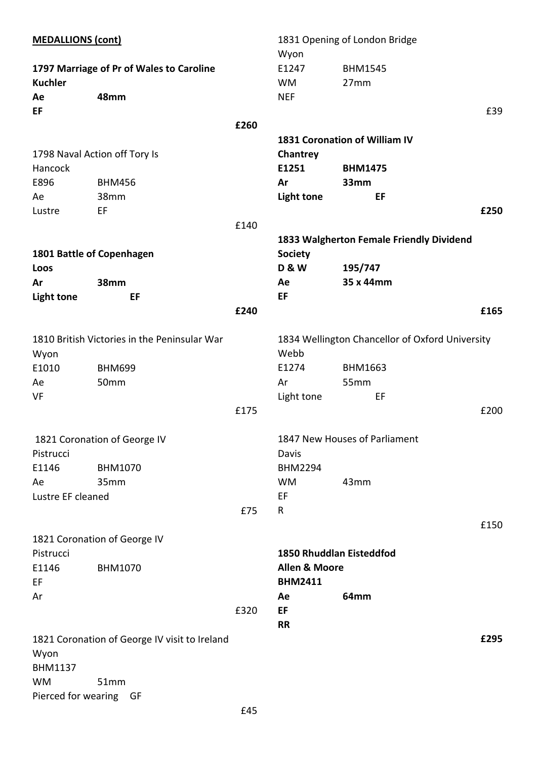| <b>MEDALLIONS (cont)</b> |                                               |      | 1831 Opening of London Bridge |                                                 |      |
|--------------------------|-----------------------------------------------|------|-------------------------------|-------------------------------------------------|------|
|                          |                                               |      | Wyon                          |                                                 |      |
|                          | 1797 Marriage of Pr of Wales to Caroline      |      | E1247                         | <b>BHM1545</b>                                  |      |
| <b>Kuchler</b>           |                                               |      | <b>WM</b>                     | 27mm                                            |      |
| Ae                       | 48mm                                          |      | <b>NEF</b>                    |                                                 |      |
| EF                       |                                               |      |                               |                                                 | £39  |
|                          |                                               | £260 |                               |                                                 |      |
|                          |                                               |      |                               | <b>1831 Coronation of William IV</b>            |      |
|                          | 1798 Naval Action off Tory Is                 |      | Chantrey                      |                                                 |      |
| Hancock                  |                                               |      | E1251                         | <b>BHM1475</b>                                  |      |
| E896                     | <b>BHM456</b>                                 |      | Ar                            | 33mm                                            |      |
| Ae                       | 38mm                                          |      | <b>Light tone</b>             | EF                                              |      |
| Lustre                   | EF                                            |      |                               |                                                 | £250 |
|                          |                                               | £140 |                               |                                                 |      |
|                          |                                               |      |                               | 1833 Walgherton Female Friendly Dividend        |      |
|                          | 1801 Battle of Copenhagen                     |      | <b>Society</b>                |                                                 |      |
| Loos                     |                                               |      | <b>D&amp;W</b>                | 195/747                                         |      |
| Ar                       | 38mm                                          |      | Ae                            | 35 x 44mm                                       |      |
| <b>Light tone</b>        | EF                                            |      | EF                            |                                                 |      |
|                          |                                               | £240 |                               |                                                 | £165 |
|                          |                                               |      |                               |                                                 |      |
|                          | 1810 British Victories in the Peninsular War  |      |                               | 1834 Wellington Chancellor of Oxford University |      |
| Wyon                     |                                               |      | Webb                          |                                                 |      |
| E1010                    | <b>BHM699</b>                                 |      | E1274                         | <b>BHM1663</b>                                  |      |
| Ae                       | 50mm                                          |      | Ar                            | 55mm                                            |      |
| VF                       |                                               |      | Light tone                    | EF                                              |      |
|                          |                                               | £175 |                               |                                                 | £200 |
|                          | 1821 Coronation of George IV                  |      |                               | 1847 New Houses of Parliament                   |      |
| Pistrucci                |                                               |      | Davis                         |                                                 |      |
| E1146                    | BHM1070                                       |      | <b>BHM2294</b>                |                                                 |      |
|                          | 35mm                                          |      | <b>WM</b>                     | 43mm                                            |      |
| Ae                       |                                               |      |                               |                                                 |      |
| Lustre EF cleaned        |                                               |      | EF                            |                                                 |      |
|                          |                                               | £75  | R                             |                                                 |      |
|                          | 1821 Coronation of George IV                  |      |                               |                                                 | £150 |
| Pistrucci                |                                               |      |                               | <b>1850 Rhuddlan Eisteddfod</b>                 |      |
| E1146                    | <b>BHM1070</b>                                |      | <b>Allen &amp; Moore</b>      |                                                 |      |
| EF                       |                                               |      | <b>BHM2411</b>                |                                                 |      |
| Ar                       |                                               |      | Ae                            | 64mm                                            |      |
|                          |                                               | £320 | EF                            |                                                 |      |
|                          |                                               |      | <b>RR</b>                     |                                                 |      |
|                          | 1821 Coronation of George IV visit to Ireland |      |                               |                                                 | £295 |
| Wyon                     |                                               |      |                               |                                                 |      |
| <b>BHM1137</b>           |                                               |      |                               |                                                 |      |
| <b>WM</b>                | 51mm                                          |      |                               |                                                 |      |
| Pierced for wearing GF   |                                               |      |                               |                                                 |      |
|                          |                                               |      |                               |                                                 |      |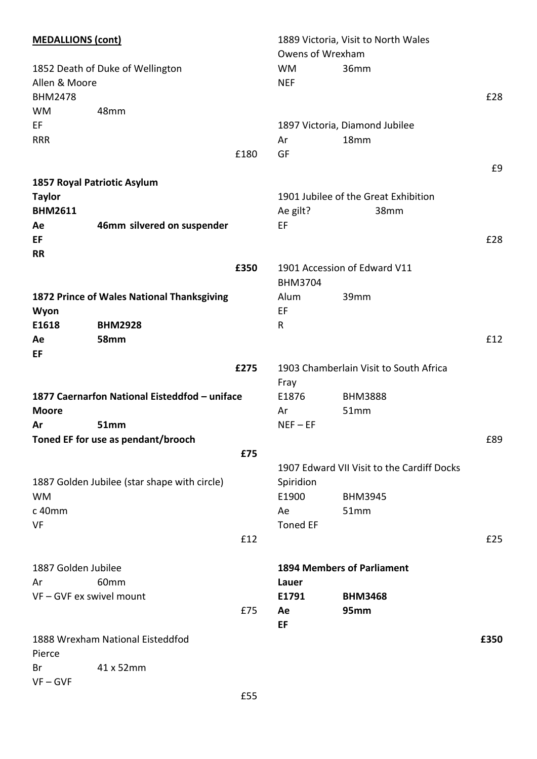| <b>MEDALLIONS (cont)</b>                          |                                               |      | 1889 Victoria, Visit to North Wales |                                            |      |  |
|---------------------------------------------------|-----------------------------------------------|------|-------------------------------------|--------------------------------------------|------|--|
|                                                   |                                               |      | Owens of Wrexham                    |                                            |      |  |
| 1852 Death of Duke of Wellington<br>Allen & Moore |                                               |      | <b>WM</b><br><b>NEF</b>             | 36mm                                       |      |  |
| <b>BHM2478</b>                                    |                                               |      |                                     |                                            | £28  |  |
| <b>WM</b>                                         | 48mm                                          |      |                                     |                                            |      |  |
| EF                                                |                                               |      |                                     | 1897 Victoria, Diamond Jubilee             |      |  |
| <b>RRR</b>                                        |                                               |      | Ar                                  | 18 <sub>mm</sub>                           |      |  |
|                                                   |                                               | £180 | GF                                  |                                            |      |  |
|                                                   |                                               |      |                                     |                                            | £9   |  |
|                                                   | 1857 Royal Patriotic Asylum                   |      |                                     |                                            |      |  |
| <b>Taylor</b>                                     |                                               |      |                                     | 1901 Jubilee of the Great Exhibition       |      |  |
| <b>BHM2611</b>                                    |                                               |      | Ae gilt?                            | 38mm                                       |      |  |
| Ae                                                | 46mm silvered on suspender                    |      | EF                                  |                                            |      |  |
| EF                                                |                                               |      |                                     |                                            | £28  |  |
| <b>RR</b>                                         |                                               |      |                                     |                                            |      |  |
|                                                   |                                               | £350 |                                     | 1901 Accession of Edward V11               |      |  |
|                                                   |                                               |      | <b>BHM3704</b>                      |                                            |      |  |
|                                                   | 1872 Prince of Wales National Thanksgiving    |      | Alum                                | 39mm                                       |      |  |
| Wyon                                              |                                               |      | EF                                  |                                            |      |  |
| E1618                                             | <b>BHM2928</b>                                |      | R                                   |                                            |      |  |
| Ae                                                | <b>58mm</b>                                   |      |                                     |                                            | £12  |  |
| EF                                                |                                               |      |                                     |                                            |      |  |
|                                                   |                                               | £275 |                                     | 1903 Chamberlain Visit to South Africa     |      |  |
|                                                   |                                               |      | Fray                                |                                            |      |  |
|                                                   | 1877 Caernarfon National Eisteddfod - uniface |      | E1876                               | <b>BHM3888</b>                             |      |  |
| <b>Moore</b>                                      |                                               |      | Ar                                  | 51mm                                       |      |  |
| Ar                                                | <b>51mm</b>                                   |      | $NET - EF$                          |                                            |      |  |
|                                                   | Toned EF for use as pendant/brooch            |      |                                     |                                            | £89  |  |
|                                                   |                                               | £75  |                                     |                                            |      |  |
|                                                   |                                               |      |                                     | 1907 Edward VII Visit to the Cardiff Docks |      |  |
|                                                   | 1887 Golden Jubilee (star shape with circle)  |      | Spiridion                           |                                            |      |  |
| <b>WM</b><br>c 40mm                               |                                               |      | E1900<br>Ae                         | <b>BHM3945</b><br>51mm                     |      |  |
| VF                                                |                                               |      | <b>Toned EF</b>                     |                                            |      |  |
|                                                   |                                               | £12  |                                     |                                            | £25  |  |
|                                                   |                                               |      |                                     |                                            |      |  |
| 1887 Golden Jubilee                               |                                               |      |                                     | <b>1894 Members of Parliament</b>          |      |  |
| Ar                                                | 60mm                                          |      | Lauer                               |                                            |      |  |
|                                                   | VF - GVF ex swivel mount                      |      | E1791                               | <b>BHM3468</b>                             |      |  |
|                                                   |                                               | £75  | Ae                                  | 95mm                                       |      |  |
|                                                   |                                               |      | EF                                  |                                            |      |  |
|                                                   | 1888 Wrexham National Eisteddfod              |      |                                     |                                            | £350 |  |
| Pierce                                            |                                               |      |                                     |                                            |      |  |
| Br                                                | 41 x 52mm                                     |      |                                     |                                            |      |  |
| $VF - GVF$                                        |                                               |      |                                     |                                            |      |  |
|                                                   |                                               | £55  |                                     |                                            |      |  |